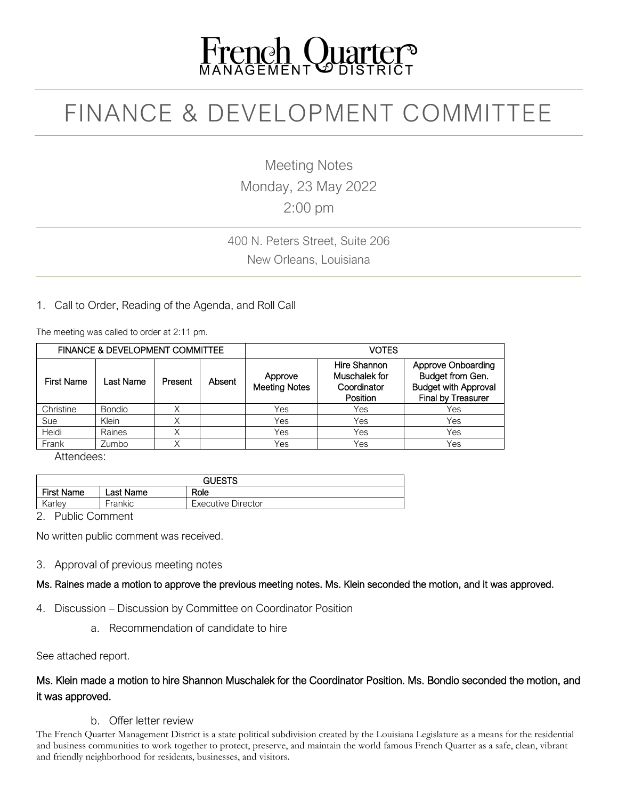# French Quarter

### FINANCE & DEVELOPMENT COMMITTEE

Meeting Notes Monday, 23 May 2022 2:00 pm

400 N. Peters Street, Suite 206 New Orleans, Louisiana

#### 1. Call to Order, Reading of the Agenda, and Roll Call

The meeting was called to order at 2:11 pm.

| <b>FINANCE &amp; DEVELOPMENT COMMITTEE</b> |               |         |        | <b>VOTES</b>                    |                                                          |                                                                                                    |
|--------------------------------------------|---------------|---------|--------|---------------------------------|----------------------------------------------------------|----------------------------------------------------------------------------------------------------|
| <b>First Name</b>                          | Last Name     | Present | Absent | Approve<br><b>Meeting Notes</b> | Hire Shannon<br>Muschalek for<br>Coordinator<br>Position | <b>Approve Onboarding</b><br>Budget from Gen.<br><b>Budget with Approval</b><br>Final by Treasurer |
| Christine                                  | <b>Bondio</b> | Χ       |        | Yes                             | Yes                                                      | Yes                                                                                                |
| Sue                                        | Klein         | Χ       |        | Yes                             | Yes                                                      | Yes                                                                                                |
| Heidi                                      | Raines        | Χ       |        | Yes                             | Yes                                                      | Yes                                                                                                |
| Frank                                      | Zumbo         | Χ       |        | Yes                             | Yes                                                      | Yes                                                                                                |

Attendees:

| <b>GUESTS</b>     |            |                           |  |  |  |
|-------------------|------------|---------------------------|--|--|--|
| <b>First Name</b> | Last Name. | Role                      |  |  |  |
| Karley            | Frankic    | <b>Executive Director</b> |  |  |  |

2. Public Comment

No written public comment was received.

3. Approval of previous meeting notes

Ms. Raines made a motion to approve the previous meeting notes. Ms. Klein seconded the motion, and it was approved.

- 4. Discussion Discussion by Committee on Coordinator Position
	- a. Recommendation of candidate to hire

See attached report.

#### Ms. Klein made a motion to hire Shannon Muschalek for the Coordinator Position. Ms. Bondio seconded the motion, and it was approved.

#### b. Offer letter review

The French Quarter Management District is a state political subdivision created by the Louisiana Legislature as a means for the residential and business communities to work together to protect, preserve, and maintain the world famous French Quarter as a safe, clean, vibrant and friendly neighborhood for residents, businesses, and visitors.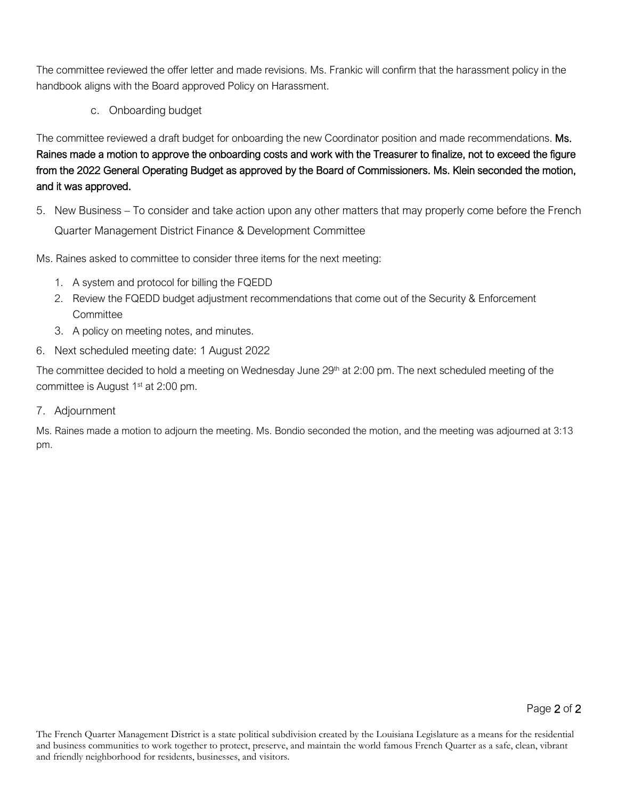The committee reviewed the offer letter and made revisions. Ms. Frankic will confirm that the harassment policy in the handbook aligns with the Board approved Policy on Harassment.

c. Onboarding budget

The committee reviewed a draft budget for onboarding the new Coordinator position and made recommendations. Ms. Raines made a motion to approve the onboarding costs and work with the Treasurer to finalize, not to exceed the figure from the 2022 General Operating Budget as approved by the Board of Commissioners. Ms. Klein seconded the motion, and it was approved.

5. New Business – To consider and take action upon any other matters that may properly come before the French Quarter Management District Finance & Development Committee

Ms. Raines asked to committee to consider three items for the next meeting:

- 1. A system and protocol for billing the FQEDD
- 2. Review the FQEDD budget adjustment recommendations that come out of the Security & Enforcement **Committee**
- 3. A policy on meeting notes, and minutes.
- 6. Next scheduled meeting date: 1 August 2022

The committee decided to hold a meeting on Wednesday June 29<sup>th</sup> at 2:00 pm. The next scheduled meeting of the committee is August 1<sup>st</sup> at 2:00 pm.

7. Adjournment

Ms. Raines made a motion to adjourn the meeting. Ms. Bondio seconded the motion, and the meeting was adjourned at 3:13 pm.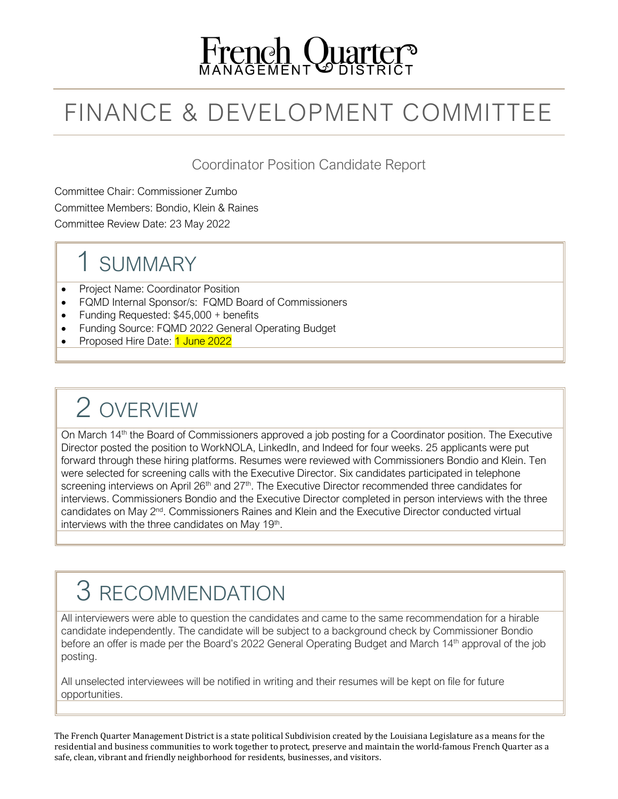

## FINANCE & DEVELOPMENT COMMITTEE

Coordinator Position Candidate Report

Committee Chair: Commissioner Zumbo Committee Members: Bondio, Klein & Raines Committee Review Date: 23 May 2022

### 1 SUMMARY

- Project Name: Coordinator Position
- FQMD Internal Sponsor/s: FQMD Board of Commissioners
- Funding Requested: \$45,000 + benefits
- Funding Source: FQMD 2022 General Operating Budget
- Proposed Hire Date: 1 June 2022

## 2 OVERVIEW

On March 14<sup>th</sup> the Board of Commissioners approved a job posting for a Coordinator position. The Executive Director posted the position to WorkNOLA, LinkedIn, and Indeed for four weeks. 25 applicants were put forward through these hiring platforms. Resumes were reviewed with Commissioners Bondio and Klein. Ten were selected for screening calls with the Executive Director. Six candidates participated in telephone screening interviews on April  $26<sup>th</sup>$  and  $27<sup>th</sup>$ . The Executive Director recommended three candidates for interviews. Commissioners Bondio and the Executive Director completed in person interviews with the three candidates on May 2nd. Commissioners Raines and Klein and the Executive Director conducted virtual interviews with the three candidates on May 19th.

### 3 RECOMMENDATION

All interviewers were able to question the candidates and came to the same recommendation for a hirable candidate independently. The candidate will be subject to a background check by Commissioner Bondio before an offer is made per the Board's 2022 General Operating Budget and March 14<sup>th</sup> approval of the job posting.

All unselected interviewees will be notified in writing and their resumes will be kept on file for future opportunities.

The French Quarter Management District is a state political Subdivision created by the Louisiana Legislature as a means for the residential and business communities to work together to protect, preserve and maintain the world-famous French Quarter as a safe, clean, vibrant and friendly neighborhood for residents, businesses, and visitors.